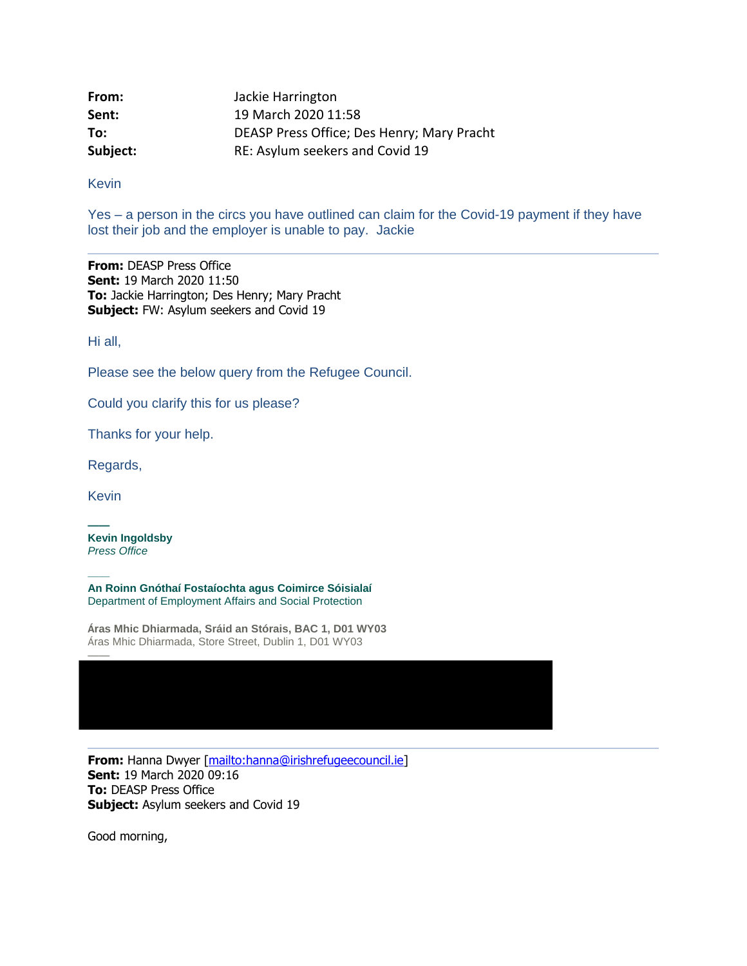| From:    | Jackie Harrington                          |
|----------|--------------------------------------------|
| Sent:    | 19 March 2020 11:58                        |
| To:      | DEASP Press Office; Des Henry; Mary Pracht |
| Subject: | RE: Asylum seekers and Covid 19            |

Kevin

Yes – a person in the circs you have outlined can claim for the Covid-19 payment if they have lost their job and the employer is unable to pay. Jackie

**From:** DEASP Press Office **Sent:** 19 March 2020 11:50 **To:** Jackie Harrington; Des Henry; Mary Pracht **Subject:** FW: Asylum seekers and Covid 19

Hi all,

Please see the below query from the Refugee Council.

Could you clarify this for us please?

Thanks for your help.

Regards,

Kevin

——

——

**—— Kevin Ingoldsby** *Press Office*

**An Roinn Gnóthaí Fostaíochta agus Coimirce Sóisialaí** Department of Employment Affairs and Social Protection

**Áras Mhic Dhiarmada, Sráid an Stórais, BAC 1, D01 WY03** Áras Mhic Dhiarmada, Store Street, Dublin 1, D01 WY03

**From:** Hanna Dwyer [\[mailto:hanna@irishrefugeecouncil.ie\]](mailto:hanna@irishrefugeecouncil.ie) **Sent:** 19 March 2020 09:16 **To:** DEASP Press Office **Subject:** Asylum seekers and Covid 19

Good morning,